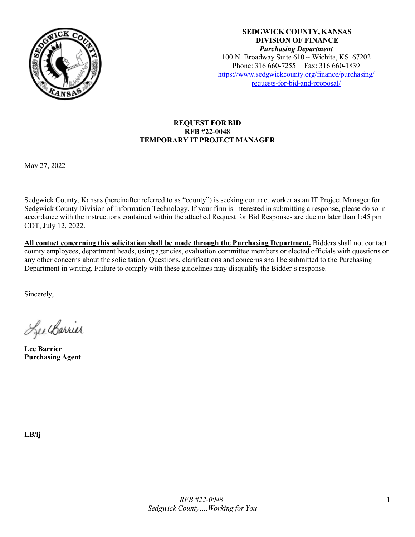

**SEDGWICK COUNTY, KANSAS DIVISION OF FINANCE** *Purchasing Department* 100 N. Broadway Suite  $610 \sim$  Wichita, KS 67202 Phone: 316 660-7255 Fax: 316 660-1839 [https://www.sedgwickcounty.org/finance/purchasing/](https://www.sedgwickcounty.org/finance/purchasing/requests-for-bid-and-proposal/) [requests-for-bid-and-proposal/](https://www.sedgwickcounty.org/finance/purchasing/requests-for-bid-and-proposal/)

## **REQUEST FOR BID RFB #22-0048 TEMPORARY IT PROJECT MANAGER**

May 27, 2022

Sedgwick County, Kansas (hereinafter referred to as "county") is seeking contract worker as an IT Project Manager for Sedgwick County Division of Information Technology. If your firm is interested in submitting a response, please do so in accordance with the instructions contained within the attached Request for Bid Responses are due no later than 1:45 pm CDT, July 12, 2022.

**All contact concerning this solicitation shall be made through the Purchasing Department.** Bidders shall not contact county employees, department heads, using agencies, evaluation committee members or elected officials with questions or any other concerns about the solicitation. Questions, clarifications and concerns shall be submitted to the Purchasing Department in writing. Failure to comply with these guidelines may disqualify the Bidder's response.

Sincerely,

Lee Carrier

**Lee Barrier Purchasing Agent**

**LB/lj**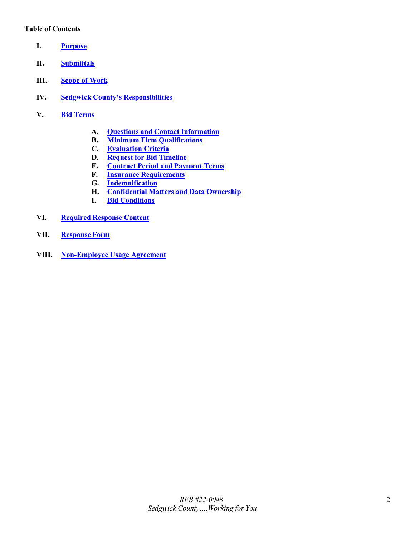#### **Table of Contents**

- <span id="page-1-0"></span>**I. [Purpose](#page-2-0)**
- <span id="page-1-1"></span>**II. [Submittals](#page-2-1)**
- <span id="page-1-2"></span>**III. [Scope](#page-2-2) of Work**
- <span id="page-1-3"></span>**IV. [Sedgwick County's Responsibilities](#page-3-0)**
- <span id="page-1-8"></span><span id="page-1-7"></span><span id="page-1-6"></span><span id="page-1-5"></span><span id="page-1-4"></span>**V. Bid [Terms](#page-3-1)**
	- **A. Questions and Contact [Information](#page-3-2)**
	- **B. Minimum Firm [Qualifications](#page-3-3)**
	- **C. [Evaluation Criteria](#page-4-0)**
	- **D. [Request for Bid](#page-4-1) Timeline**
	- **E. [Contract Period](#page-4-2) and Payment Terms**
	- **F. Insurance [Requirements](#page-4-3)**
	- **G. [Indemnification](#page-5-0)**
	- **H. [Confidential](#page-6-0) Matters and Data Ownership**
	- **I. Bid [Conditions](#page-6-1)**
- <span id="page-1-11"></span><span id="page-1-10"></span><span id="page-1-9"></span>**VI. [Required](#page-6-2) Response Content**
- <span id="page-1-12"></span>**VII. [Response](#page-7-0) Form**
- <span id="page-1-13"></span>**VIII. [Non-Employee Usage Agreement](#page-8-0)**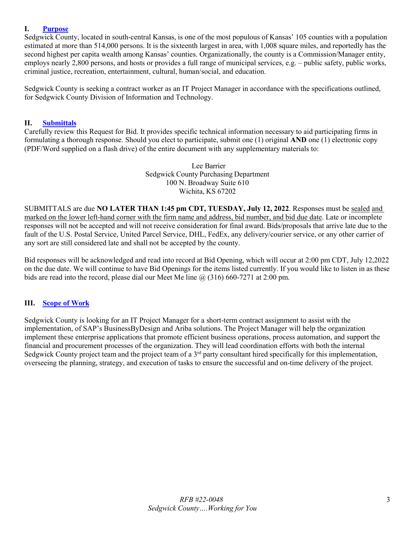## <span id="page-2-0"></span>**I. [Purpose](#page-1-0)**

Sedgwick County, located in south-central Kansas, is one of the most populous of Kansas' 105 counties with a population estimated at more than 514,000 persons. It is the sixteenth largest in area, with 1,008 square miles, and reportedly has the second highest per capita wealth among Kansas' counties. Organizationally, the county is a Commission/Manager entity, employs nearly 2,800 persons, and hosts or provides a full range of municipal services, e.g. – public safety, public works, criminal justice, recreation, entertainment, cultural, human/social, and education.

Sedgwick County is seeking a contract worker as an IT Project Manager in accordance with the specifications outlined, for Sedgwick County Division of Information and Technology.

#### <span id="page-2-1"></span>**II. [Submittals](#page-1-1)**

Carefully review this Request for Bid. It provides specific technical information necessary to aid participating firms in formulating a thorough response. Should you elect to participate, submit one (1) original **AND** one (1) electronic copy (PDF/Word supplied on a flash drive) of the entire document with any supplementary materials to:

> Lee Barrier Sedgwick County Purchasing Department 100 N. Broadway Suite 610 Wichita, KS 67202

SUBMITTALS are due **NO LATER THAN 1:45 pm CDT, TUESDAY, July 12, 2022**. Responses must be sealed and marked on the lower left-hand corner with the firm name and address, bid number, and bid due date. Late or incomplete responses will not be accepted and will not receive consideration for final award. Bids/proposals that arrive late due to the fault of the U.S. Postal Service, United Parcel Service, DHL, FedEx, any delivery/courier service, or any other carrier of any sort are still considered late and shall not be accepted by the county.

Bid responses will be acknowledged and read into record at Bid Opening, which will occur at 2:00 pm CDT, July 12,2022 on the due date. We will continue to have Bid Openings for the items listed currently. If you would like to listen in as these bids are read into the record, please dial our Meet Me line  $\omega(316)$  660-7271 at 2:00 pm.

## <span id="page-2-2"></span>**III. [Scope](#page-1-2) of Work**

Sedgwick County is looking for an IT Project Manager for a short-term contract assignment to assist with the implementation, of SAP's BusinessByDesign and Ariba solutions. The Project Manager will help the organization implement these enterprise applications that promote efficient business operations, process automation, and support the financial and procurement processes of the organization. They will lead coordination efforts with both the internal Sedgwick County project team and the project team of a 3<sup>rd</sup> party consultant hired specifically for this implementation, overseeing the planning, strategy, and execution of tasks to ensure the successful and on-time delivery of the project.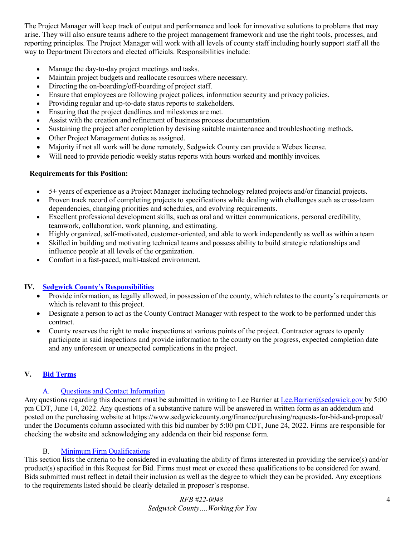The Project Manager will keep track of output and performance and look for innovative solutions to problems that may arise. They will also ensure teams adhere to the project management framework and use the right tools, processes, and reporting principles. The Project Manager will work with all levels of county staff including hourly support staff all the way to Department Directors and elected officials. Responsibilities include:

- Manage the day-to-day project meetings and tasks.
- Maintain project budgets and reallocate resources where necessary.
- Directing the on-boarding/off-boarding of project staff.
- Ensure that employees are following project polices, information security and privacy policies.
- Providing regular and up-to-date status reports to stakeholders.
- Ensuring that the project deadlines and milestones are met.
- Assist with the creation and refinement of business process documentation.
- Sustaining the project after completion by devising suitable maintenance and troubleshooting methods.
- Other Project Management duties as assigned.
- Majority if not all work will be done remotely, Sedgwick County can provide a Webex license.
- Will need to provide periodic weekly status reports with hours worked and monthly invoices.

## **Requirements for this Position:**

- 5+ years of experience as a Project Manager including technology related projects and/or financial projects.
- Proven track record of completing projects to specifications while dealing with challenges such as cross-team dependencies, changing priorities and schedules, and evolving requirements.
- Excellent professional development skills, such as oral and written communications, personal credibility, teamwork, collaboration, work planning, and estimating.
- Highly organized, self-motivated, customer-oriented, and able to work independently as well as within a team
- Skilled in building and motivating technical teams and possess ability to build strategic relationships and influence people at all levels of the organization.
- Comfort in a fast-paced, multi-tasked environment.

# **IV. [Sedgwick County's Responsibilities](#page-1-3)**

- <span id="page-3-0"></span>• Provide information, as legally allowed, in possession of the county, which relates to the county's requirements or which is relevant to this project.
- Designate a person to act as the County Contract Manager with respect to the work to be performed under this contract.
- County reserves the right to make inspections at various points of the project. Contractor agrees to openly participate in said inspections and provide information to the county on the progress, expected completion date and any unforeseen or unexpected complications in the project.

# <span id="page-3-1"></span>**V. Bid [Terms](#page-1-4)**

# <span id="page-3-2"></span>A. [Questions and Contact](#page-1-5) Information

Any questions regarding this document must be submitted in writing to Lee Barrier at [Lee.Barrier@sedgwick.gov](mailto:Lee.Barrier@sedgwick.gov) by 5:00 pm CDT, June 14, 2022. Any questions of a substantive nature will be answered in written form as an addendum and posted on the purchasing website at<https://www.sedgwickcounty.org/finance/purchasing/requests-for-bid-and-proposal/> under the Documents column associated with this bid number by 5:00 pm CDT, June 24, 2022. Firms are responsible for checking the website and acknowledging any addenda on their bid response form.

# <span id="page-3-3"></span>B. Minimum Firm [Qualifications](#page-1-5)

This section lists the criteria to be considered in evaluating the ability of firms interested in providing the service(s) and/or product(s) specified in this Request for Bid. Firms must meet or exceed these qualifications to be considered for award. Bids submitted must reflect in detail their inclusion as well as the degree to which they can be provided. Any exceptions to the requirements listed should be clearly detailed in proposer's response.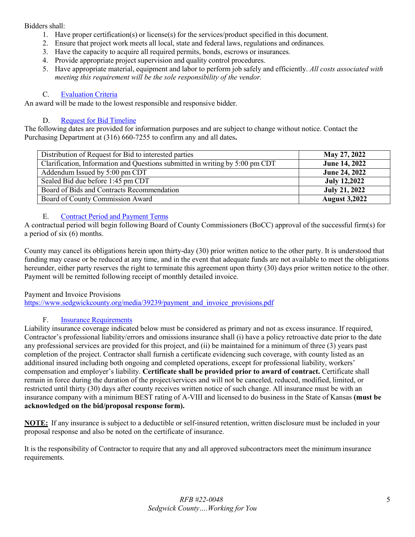## Bidders shall:

- 1. Have proper certification(s) or license(s) for the services/product specified in this document.
- 2. Ensure that project work meets all local, state and federal laws, regulations and ordinances.
- 3. Have the capacity to acquire all required permits, bonds, escrows or insurances.
- 4. Provide appropriate project supervision and quality control procedures.
- 5. Have appropriate material, equipment and labor to perform job safely and efficiently. *All costs associated with meeting this requirement will be the sole responsibility of the vendor.*

#### <span id="page-4-0"></span>C. [Evaluation Criteria](#page-1-6)

An award will be made to the lowest responsible and responsive bidder.

#### <span id="page-4-1"></span>D. [Request for](#page-1-7) Bid Timeline

The following dates are provided for information purposes and are subject to change without notice. Contact the Purchasing Department at (316) 660-7255 to confirm any and all dates**.** 

| Distribution of Request for Bid to interested parties                        | May 27, 2022         |
|------------------------------------------------------------------------------|----------------------|
| Clarification, Information and Questions submitted in writing by 5:00 pm CDT | June 14, 2022        |
| Addendum Issued by 5:00 pm CDT                                               | June 24, 2022        |
| Sealed Bid due before 1:45 pm CDT                                            | <b>July 12,2022</b>  |
| Board of Bids and Contracts Recommendation                                   | <b>July 21, 2022</b> |
| Board of County Commission Award                                             | <b>August 3,2022</b> |

#### <span id="page-4-2"></span>E. [Contract Period](#page-1-7) and Payment Terms

A contractual period will begin following Board of County Commissioners (BoCC) approval of the successful firm(s) for a period of six (6) months.

County may cancel its obligations herein upon thirty-day (30) prior written notice to the other party. It is understood that funding may cease or be reduced at any time, and in the event that adequate funds are not available to meet the obligations hereunder, either party reserves the right to terminate this agreement upon thirty (30) days prior written notice to the other. Payment will be remitted following receipt of monthly detailed invoice.

Payment and Invoice Provisions

[https://www.sedgwickcounty.org/media/39239/payment\\_and\\_invoice\\_provisions.pdf](https://www.sedgwickcounty.org/media/39239/payment_and_invoice_provisions.pdf)

## <span id="page-4-3"></span>F. [Insurance Requirements](#page-1-8)

Liability insurance coverage indicated below must be considered as primary and not as excess insurance. If required, Contractor's professional liability/errors and omissions insurance shall (i) have a policy retroactive date prior to the date any professional services are provided for this project, and (ii) be maintained for a minimum of three (3) years past completion of the project. Contractor shall furnish a certificate evidencing such coverage, with county listed as an additional insured including both ongoing and completed operations, except for professional liability, workers' compensation and employer's liability. **Certificate shall be provided prior to award of contract.** Certificate shall remain in force during the duration of the project/services and will not be canceled, reduced, modified, limited, or restricted until thirty (30) days after county receives written notice of such change. All insurance must be with an insurance company with a minimum BEST rating of A-VIII and licensed to do business in the State of Kansas **(must be acknowledged on the bid/proposal response form).**

**NOTE:** If any insurance is subject to a deductible or self-insured retention, written disclosure must be included in your proposal response and also be noted on the certificate of insurance.

It is the responsibility of Contractor to require that any and all approved subcontractors meet the minimum insurance requirements.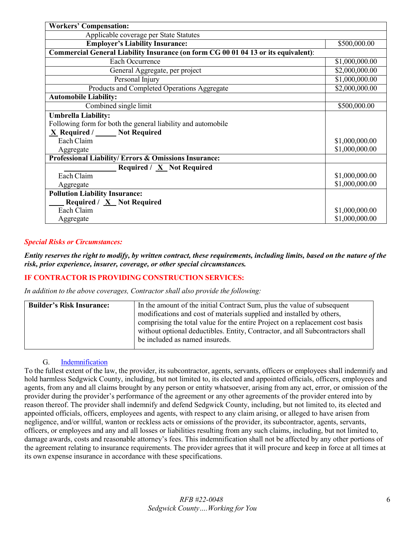| <b>Workers' Compensation:</b>                                                      |                |
|------------------------------------------------------------------------------------|----------------|
| Applicable coverage per State Statutes                                             |                |
| <b>Employer's Liability Insurance:</b>                                             | \$500,000.00   |
| Commercial General Liability Insurance (on form CG 00 01 04 13 or its equivalent): |                |
| Each Occurrence                                                                    | \$1,000,000.00 |
| General Aggregate, per project                                                     | \$2,000,000.00 |
| Personal Injury                                                                    | \$1,000,000.00 |
| Products and Completed Operations Aggregate                                        | \$2,000,000.00 |
| <b>Automobile Liability:</b>                                                       |                |
| Combined single limit                                                              | \$500,000.00   |
| <b>Umbrella Liability:</b>                                                         |                |
| Following form for both the general liability and automobile                       |                |
| $X$ Required / Not Required                                                        |                |
| Each Claim                                                                         | \$1,000,000.00 |
| Aggregate                                                                          | \$1,000,000.00 |
| Professional Liability/Errors & Omissions Insurance:                               |                |
| Required / X Not Required                                                          |                |
| Each Claim                                                                         | \$1,000,000.00 |
| Aggregate                                                                          | \$1,000,000.00 |
| <b>Pollution Liability Insurance:</b>                                              |                |
| <b>Required</b> / $\underline{X}$ Not Required                                     |                |
| Each Claim                                                                         | \$1,000,000.00 |
| Aggregate                                                                          | \$1,000,000.00 |

## *Special Risks or Circumstances:*

Entity reserves the right to modify, by written contract, these requirements, including limits, based on the nature of the *risk, prior experience, insurer, coverage, or other special circumstances.*

## **IF CONTRACTOR IS PROVIDING CONSTRUCTION SERVICES:**

*In addition to the above coverages, Contractor shall also provide the following:*

| <b>Builder's Risk Insurance:</b> | In the amount of the initial Contract Sum, plus the value of subsequent<br>modifications and cost of materials supplied and installed by others,                                                  |  |  |  |
|----------------------------------|---------------------------------------------------------------------------------------------------------------------------------------------------------------------------------------------------|--|--|--|
|                                  | comprising the total value for the entire Project on a replacement cost basis<br>without optional deductibles. Entity, Contractor, and all Subcontractors shall<br>be included as named insureds. |  |  |  |

## <span id="page-5-0"></span>G. [Indemnification](#page-1-9)

To the fullest extent of the law, the provider, its subcontractor, agents, servants, officers or employees shall indemnify and hold harmless Sedgwick County, including, but not limited to, its elected and appointed officials, officers, employees and agents, from any and all claims brought by any person or entity whatsoever, arising from any act, error, or omission of the provider during the provider's performance of the agreement or any other agreements of the provider entered into by reason thereof. The provider shall indemnify and defend Sedgwick County, including, but not limited to, its elected and appointed officials, officers, employees and agents, with respect to any claim arising, or alleged to have arisen from negligence, and/or willful, wanton or reckless acts or omissions of the provider, its subcontractor, agents, servants, officers, or employees and any and all losses or liabilities resulting from any such claims, including, but not limited to, damage awards, costs and reasonable attorney's fees. This indemnification shall not be affected by any other portions of the agreement relating to insurance requirements. The provider agrees that it will procure and keep in force at all times at its own expense insurance in accordance with these specifications.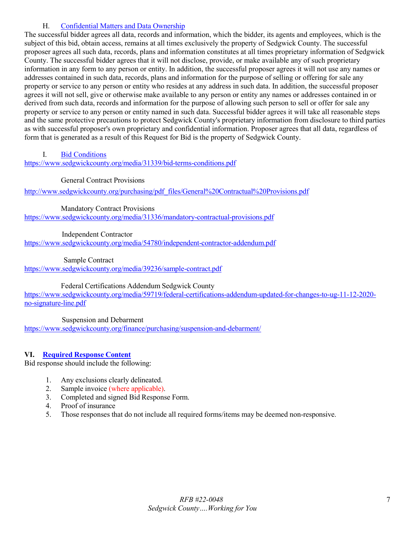## <span id="page-6-0"></span>H. [Confidential Matters and Data](#page-1-9) Ownership

The successful bidder agrees all data, records and information, which the bidder, its agents and employees, which is the subject of this bid, obtain access, remains at all times exclusively the property of Sedgwick County. The successful proposer agrees all such data, records, plans and information constitutes at all times proprietary information of Sedgwick County. The successful bidder agrees that it will not disclose, provide, or make available any of such proprietary information in any form to any person or entity. In addition, the successful proposer agrees it will not use any names or addresses contained in such data, records, plans and information for the purpose of selling or offering for sale any property or service to any person or entity who resides at any address in such data. In addition, the successful proposer agrees it will not sell, give or otherwise make available to any person or entity any names or addresses contained in or derived from such data, records and information for the purpose of allowing such person to sell or offer for sale any property or service to any person or entity named in such data. Successful bidder agrees it will take all reasonable steps and the same protective precautions to protect Sedgwick County's proprietary information from disclosure to third parties as with successful proposer's own proprietary and confidential information. Proposer agrees that all data, regardless of form that is generated as a result of this Request for Bid is the property of Sedgwick County.

## <span id="page-6-1"></span>I. [Bid Conditions](#page-1-10)

<https://www.sedgwickcounty.org/media/31339/bid-terms-conditions.pdf>

## General Contract Provisions

[http://www.sedgwickcounty.org/purchasing/pdf\\_files/General%20Contractual%20Provisions.pdf](https://www.sedgwickcounty.org/media/31337/general-contractual-provisions.pdf)

Mandatory Contract Provisions

<https://www.sedgwickcounty.org/media/31336/mandatory-contractual-provisions.pdf>

Independent Contractor

<https://www.sedgwickcounty.org/media/54780/independent-contractor-addendum.pdf>

#### Sample Contract

<https://www.sedgwickcounty.org/media/39236/sample-contract.pdf>

Federal Certifications Addendum Sedgwick County

[https://www.sedgwickcounty.org/media/59719/federal-certifications-addendum-updated-for-changes-to-ug-11-12-2020](https://www.sedgwickcounty.org/media/59719/federal-certifications-addendum-updated-for-changes-to-ug-11-12-2020-no-signature-line.pdf) [no-signature-line.pdf](https://www.sedgwickcounty.org/media/59719/federal-certifications-addendum-updated-for-changes-to-ug-11-12-2020-no-signature-line.pdf)

Suspension and Debarment

<https://www.sedgwickcounty.org/finance/purchasing/suspension-and-debarment/>

# <span id="page-6-2"></span>**VI. [Required](#page-1-11) Response Content**

Bid response should include the following:

- 1. Any exclusions clearly delineated.
- 2. Sample invoice (where applicable).
- 3. Completed and signed Bid Response Form.
- 4. Proof of insurance
- 5. Those responses that do not include all required forms/items may be deemed non-responsive.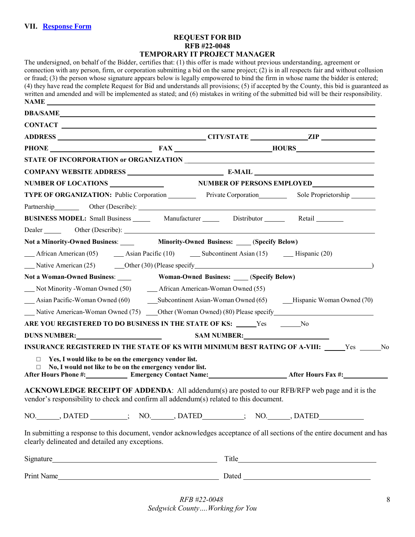#### **REQUEST FOR BID RFB #22-0048 TEMPORARY IT PROJECT MANAGER**

<span id="page-7-0"></span>The undersigned, on behalf of the Bidder, certifies that: (1) this offer is made without previous understanding, agreement or connection with any person, firm, or corporation submitting a bid on the same project; (2) is in all respects fair and without collusion or fraud; (3) the person whose signature appears below is legally empowered to bind the firm in whose name the bidder is entered; (4) they have read the complete Request for Bid and understands all provisions; (5) if accepted by the County, this bid is guaranteed as written and amended and will be implemented as stated; and (6) mistakes in writing of the submitted bid will be their responsibility. **NAME** 

|                                                                                                                                                                             |                                                          | PHONE FAX HOURS |  |  |  |  |  |  |
|-----------------------------------------------------------------------------------------------------------------------------------------------------------------------------|----------------------------------------------------------|-----------------|--|--|--|--|--|--|
|                                                                                                                                                                             |                                                          |                 |  |  |  |  |  |  |
|                                                                                                                                                                             |                                                          |                 |  |  |  |  |  |  |
|                                                                                                                                                                             |                                                          |                 |  |  |  |  |  |  |
| TYPE OF ORGANIZATION: Public Corporation Private Corporation Sole Proprietorship                                                                                            |                                                          |                 |  |  |  |  |  |  |
|                                                                                                                                                                             |                                                          |                 |  |  |  |  |  |  |
| BUSINESS MODEL: Small Business _______ Manufacturer _______ Distributor _______ Retail ________                                                                             |                                                          |                 |  |  |  |  |  |  |
|                                                                                                                                                                             |                                                          |                 |  |  |  |  |  |  |
| Not a Minority-Owned Business: Minority-Owned Business: (Specify Below)                                                                                                     |                                                          |                 |  |  |  |  |  |  |
|                                                                                                                                                                             |                                                          |                 |  |  |  |  |  |  |
|                                                                                                                                                                             |                                                          |                 |  |  |  |  |  |  |
| Not a Woman-Owned Business: ______ Woman-Owned Business: ____(Specify Below)                                                                                                |                                                          |                 |  |  |  |  |  |  |
| __ Not Minority - Woman Owned (50) __ __ African American-Woman Owned (55)                                                                                                  |                                                          |                 |  |  |  |  |  |  |
| Asian Pacific-Woman Owned (60) Subcontinent Asian-Woman Owned (65) Hispanic Woman Owned (70)                                                                                |                                                          |                 |  |  |  |  |  |  |
| Native American-Woman Owned (75) _____Other (Woman Owned) (80) Please specify ________________________________                                                              |                                                          |                 |  |  |  |  |  |  |
| ARE YOU REGISTERED TO DO BUSINESS IN THE STATE OF KS: _____Yes _______No                                                                                                    |                                                          |                 |  |  |  |  |  |  |
| DUNS NUMBER: SAM NUMBER:                                                                                                                                                    |                                                          |                 |  |  |  |  |  |  |
| INSURANCE REGISTERED IN THE STATE OF KS WITH MINIMUM BEST RATING OF A-VIII: _____Yes _____No                                                                                |                                                          |                 |  |  |  |  |  |  |
| $\Box$                                                                                                                                                                      | Yes, I would like to be on the emergency vendor list.    |                 |  |  |  |  |  |  |
| $\Box$                                                                                                                                                                      | No, I would not like to be on the emergency vendor list. |                 |  |  |  |  |  |  |
| After Hours Phone #: Emergency Contact Name: After Hours Fax #:                                                                                                             |                                                          |                 |  |  |  |  |  |  |
| <b>ACKNOWLEDGE RECEIPT OF ADDENDA:</b> All addendum(s) are posted to our RFB/RFP web page and it is the                                                                     |                                                          |                 |  |  |  |  |  |  |
| vendor's responsibility to check and confirm all addendum(s) related to this document.                                                                                      |                                                          |                 |  |  |  |  |  |  |
| NO. DATED (NO. ), DATED (NO. ), DATED (NO. ), DATED                                                                                                                         |                                                          |                 |  |  |  |  |  |  |
| In submitting a response to this document, vendor acknowledges acceptance of all sections of the entire document and has<br>clearly delineated and detailed any exceptions. |                                                          |                 |  |  |  |  |  |  |
|                                                                                                                                                                             |                                                          |                 |  |  |  |  |  |  |
| Print Name                                                                                                                                                                  |                                                          |                 |  |  |  |  |  |  |